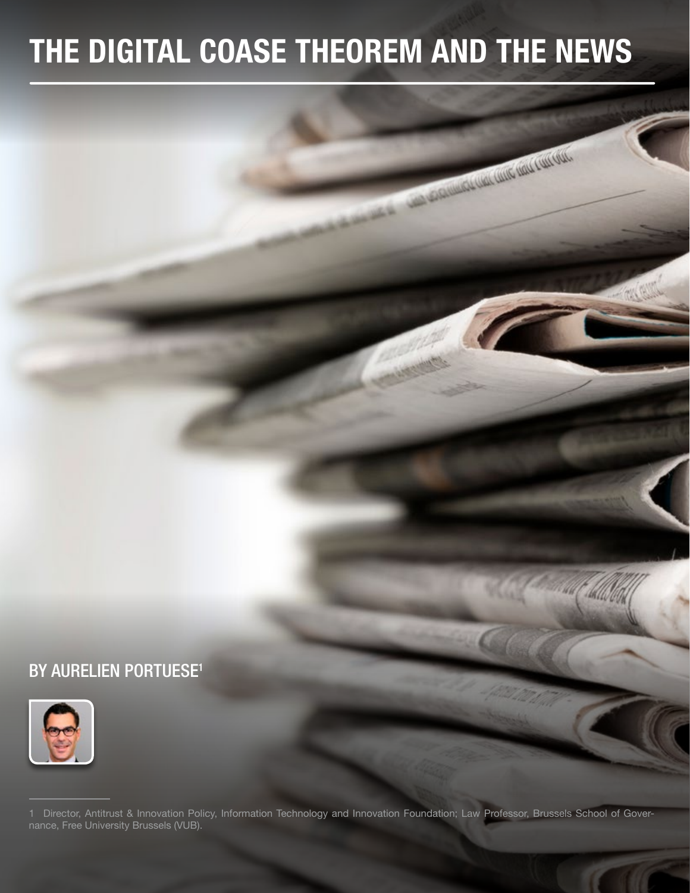# THE DIGITAL COASE THEOREM AND THE NEWS

A CONTRACTOR CONTRACTOR CONTRACTOR

**MING** 

# BY AURELIEN PORTUESE<sup>1</sup>



1 Director, Antitrust & Innovation Policy, Information Technology and Innovation Foundation; Law Professor, Brussels School of Governance, Free University Brussels (VUB).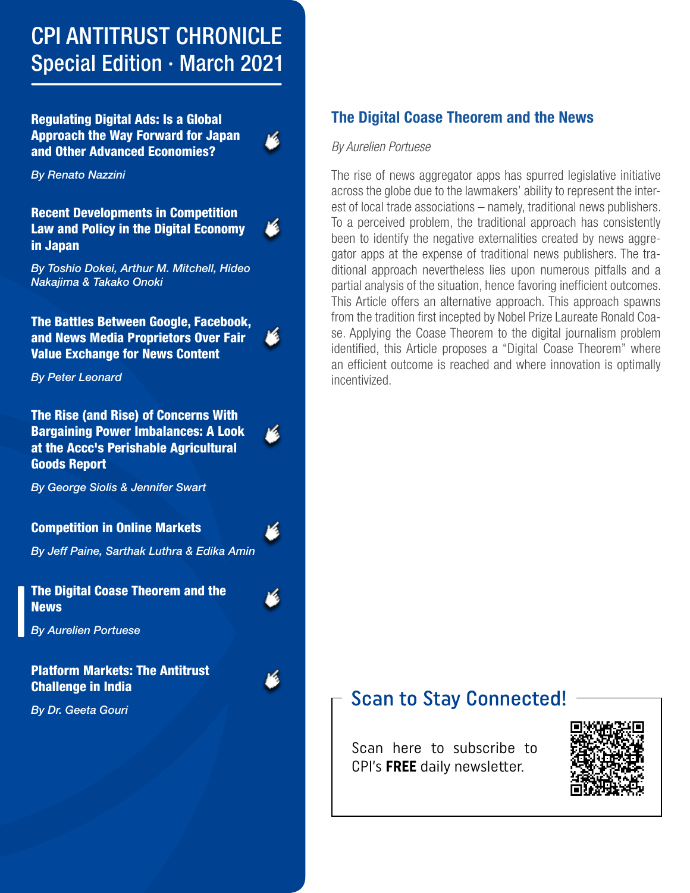# CPI ANTITRUST CHRONICLE Special Edition · March 2021

Regulating Digital Ads: Is a Global [Approach the Way Forward for Japan](https://www.competitionpolicyinternational.com/regulating-digital-ads-is-a-global-approach-the-way-forward-for-japan-and-other-advanced-economies)  and Other Advanced Economies?

*By Renato Nazzini*

Recent Developments in Competition [Law and Policy in the Digital Economy](https://www.competitionpolicyinternational.com/recent-developments-in-competition-law-and-policy-in-the-digital-economy-in-japan)  in Japan

*By Toshio Dokei, Arthur M. Mitchell, Hideo Nakajima & Takako Onoki*

[The Battles Between Google, Facebook,](https://www.competitionpolicyinternational.com/the-battles-between-google-facebook-and-news-media-proprietors-over-fair-value-exchange-for-news-content)  and News Media Proprietors Over Fair Value Exchange for News Content

*By Peter Leonard*

The Rise (and Rise) of Concerns With [Bargaining Power Imbalances: A Look](https://www.competitionpolicyinternational.com/the-rise-and-rise-of-concerns-with-bargaining-power-imbalances-a-look-at-the-acccs-perishable-agricultural-goods-report)  at the Accc's Perishable Agricultural Goods Report

*By George Siolis & Jennifer Swart*

#### Competition in Online Markets

*[By Jeff Paine, Sarthak Luthra & Edika Amin](https://www.competitionpolicyinternational.com/competition-in-online-markets)*

4

[The Digital Coase Theorem and the](https://www.competitionpolicyinternational.com/the-digital-coase-theorem-and-the-news)  **News** 

*By Aurelien Portuese*

#### [Platform Markets: The Antitrust](https://www.competitionpolicyinternational.com/platform-markets-the-antitrust-challenge-in-india)  Challenge in India

*By Dr. Geeta Gouri*

### The Digital Coase Theorem and the News

#### *By Aurelien Portuese*

The rise of news aggregator apps has spurred legislative initiative across the globe due to the lawmakers' ability to represent the interest of local trade associations – namely, traditional news publishers. To a perceived problem, the traditional approach has consistently been to identify the negative externalities created by news aggregator apps at the expense of traditional news publishers. The traditional approach nevertheless lies upon numerous pitfalls and a partial analysis of the situation, hence favoring inefficient outcomes. This Article offers an alternative approach. This approach spawns from the tradition first incepted by Nobel Prize Laureate Ronald Coase. Applying the Coase Theorem to the digital journalism problem identified, this Article proposes a "Digital Coase Theorem" where an efficient outcome is reached and where innovation is optimally incentivized.

## Scan to Stay Connected!

Scan here to subscribe to CPI's **FREE** daily newsletter.

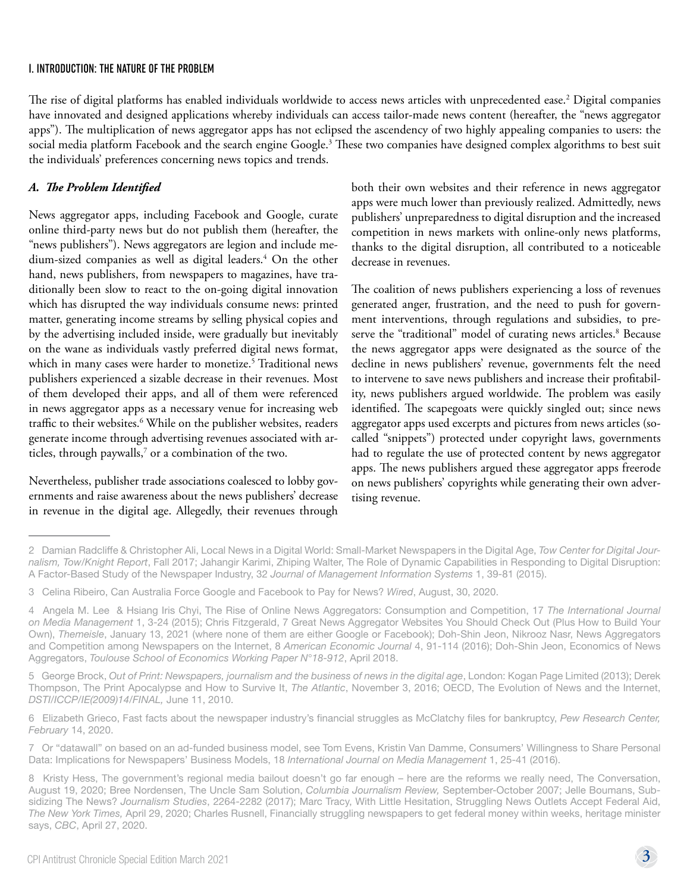#### I. INTRODUCTION: THE NATURE OF THE PROBLEM

The rise of digital platforms has enabled individuals worldwide to access news articles with unprecedented ease.2 Digital companies have innovated and designed applications whereby individuals can access tailor-made news content (hereafter, the "news aggregator apps"). The multiplication of news aggregator apps has not eclipsed the ascendency of two highly appealing companies to users: the social media platform Facebook and the search engine Google.<sup>3</sup> These two companies have designed complex algorithms to best suit the individuals' preferences concerning news topics and trends.

#### *A. The Problem Identified*

News aggregator apps, including Facebook and Google, curate online third-party news but do not publish them (hereafter, the "news publishers"). News aggregators are legion and include medium-sized companies as well as digital leaders.4 On the other hand, news publishers, from newspapers to magazines, have traditionally been slow to react to the on-going digital innovation which has disrupted the way individuals consume news: printed matter, generating income streams by selling physical copies and by the advertising included inside, were gradually but inevitably on the wane as individuals vastly preferred digital news format, which in many cases were harder to monetize.<sup>5</sup> Traditional news publishers experienced a sizable decrease in their revenues. Most of them developed their apps, and all of them were referenced in news aggregator apps as a necessary venue for increasing web traffic to their websites.<sup>6</sup> While on the publisher websites, readers generate income through advertising revenues associated with articles, through paywalls, $^7$  or a combination of the two.

Nevertheless, publisher trade associations coalesced to lobby governments and raise awareness about the news publishers' decrease in revenue in the digital age. Allegedly, their revenues through

both their own websites and their reference in news aggregator apps were much lower than previously realized. Admittedly, news publishers' unpreparedness to digital disruption and the increased competition in news markets with online-only news platforms, thanks to the digital disruption, all contributed to a noticeable decrease in revenues.

The coalition of news publishers experiencing a loss of revenues generated anger, frustration, and the need to push for government interventions, through regulations and subsidies, to preserve the "traditional" model of curating news articles.<sup>8</sup> Because the news aggregator apps were designated as the source of the decline in news publishers' revenue, governments felt the need to intervene to save news publishers and increase their profitability, news publishers argued worldwide. The problem was easily identified. The scapegoats were quickly singled out; since news aggregator apps used excerpts and pictures from news articles (socalled "snippets") protected under copyright laws, governments had to regulate the use of protected content by news aggregator apps. The news publishers argued these aggregator apps freerode on news publishers' copyrights while generating their own advertising revenue.

<sup>2</sup>  Damian Radcliffe & Christopher Ali, Local News in a Digital World: Small-Market Newspapers in the Digital Age, *Tow Center for Digital Journalism, Tow/Knight Report*, Fall 2017; Jahangir Karimi, Zhiping Walter, The Role of Dynamic Capabilities in Responding to Digital Disruption: A Factor-Based Study of the Newspaper Industry, 32 *Journal of Management Information Systems* 1, 39-81 (2015).

<sup>3</sup>  Celina Ribeiro, Can Australia Force Google and Facebook to Pay for News? *Wired*, August, 30, 2020.

<sup>4</sup>  Angela M. Lee & Hsiang Iris Chyi, The Rise of Online News Aggregators: Consumption and Competition, 17 *The International Journal on Media Management* 1, 3-24 (2015); Chris Fitzgerald, 7 Great News Aggregator Websites You Should Check Out (Plus How to Build Your Own), *Themeisle*, January 13, 2021 (where none of them are either Google or Facebook); Doh-Shin Jeon, Nikrooz Nasr, News Aggregators and Competition among Newspapers on the Internet, 8 *American Economic Journal* 4, 91-114 (2016); Doh-Shin Jeon, Economics of News Aggregators, *Toulouse School of Economics Working Paper N°18-912*, April 2018.

<sup>5</sup>  George Brock, *Out of Print: Newspapers, journalism and the business of news in the digital age*, London: Kogan Page Limited (2013); Derek Thompson, The Print Apocalypse and How to Survive It, *The Atlantic*, November 3, 2016; OECD, The Evolution of News and the Internet, *DSTI/ICCP/IE(2009)14/FINAL,* June 11, 2010.

<sup>6</sup>  Elizabeth Grieco, Fast facts about the newspaper industry's financial struggles as McClatchy files for bankruptcy, *Pew Research Center, February* 14, 2020.

<sup>7</sup>  Or "datawall" on based on an ad-funded business model, see Tom Evens, Kristin Van Damme, Consumers' Willingness to Share Personal Data: Implications for Newspapers' Business Models, 18 *International Journal on Media Management* 1, 25-41 (2016).

<sup>8</sup>  Kristy Hess, The government's regional media bailout doesn't go far enough – here are the reforms we really need, The Conversation, August 19, 2020; Bree Nordensen, The Uncle Sam Solution, *Columbia Journalism Review,* September-October 2007; Jelle Boumans, Subsidizing The News? *Journalism Studies*, 2264-2282 (2017); Marc Tracy, With Little Hesitation, Struggling News Outlets Accept Federal Aid, *The New York Times,* April 29, 2020; Charles Rusnell, Financially struggling newspapers to get federal money within weeks, heritage minister says, *CBC*, April 27, 2020.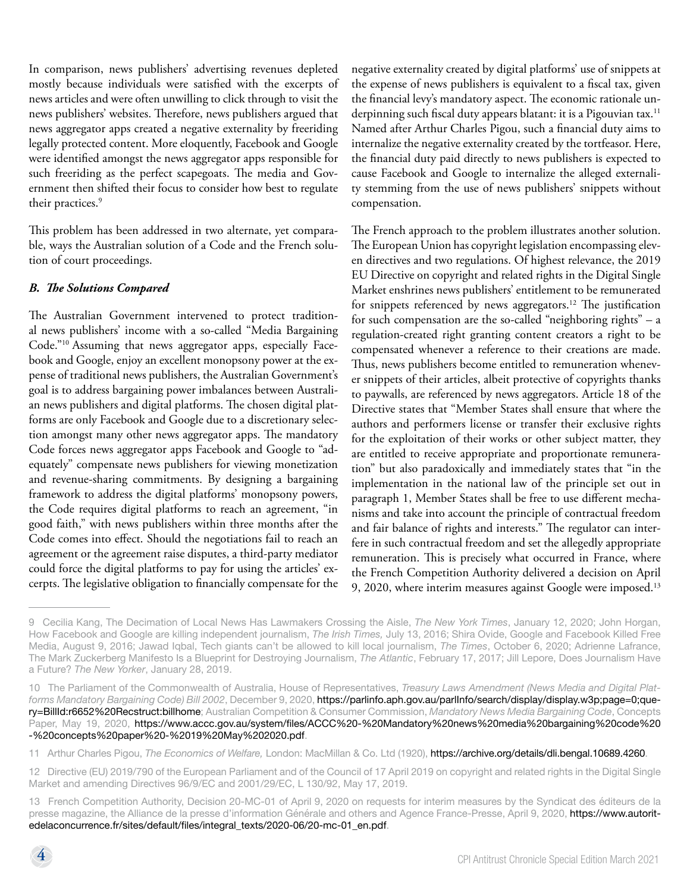In comparison, news publishers' advertising revenues depleted mostly because individuals were satisfied with the excerpts of news articles and were often unwilling to click through to visit the news publishers' websites. Therefore, news publishers argued that news aggregator apps created a negative externality by freeriding legally protected content. More eloquently, Facebook and Google were identified amongst the news aggregator apps responsible for such freeriding as the perfect scapegoats. The media and Government then shifted their focus to consider how best to regulate their practices.<sup>9</sup>

This problem has been addressed in two alternate, yet comparable, ways the Australian solution of a Code and the French solution of court proceedings.

#### *B. The Solutions Compared*

The Australian Government intervened to protect traditional news publishers' income with a so-called "Media Bargaining Code."10 Assuming that news aggregator apps, especially Facebook and Google, enjoy an excellent monopsony power at the expense of traditional news publishers, the Australian Government's goal is to address bargaining power imbalances between Australian news publishers and digital platforms. The chosen digital platforms are only Facebook and Google due to a discretionary selection amongst many other news aggregator apps. The mandatory Code forces news aggregator apps Facebook and Google to "adequately" compensate news publishers for viewing monetization and revenue-sharing commitments. By designing a bargaining framework to address the digital platforms' monopsony powers, the Code requires digital platforms to reach an agreement, "in good faith," with news publishers within three months after the Code comes into effect. Should the negotiations fail to reach an agreement or the agreement raise disputes, a third-party mediator could force the digital platforms to pay for using the articles' excerpts. The legislative obligation to financially compensate for the negative externality created by digital platforms' use of snippets at the expense of news publishers is equivalent to a fiscal tax, given the financial levy's mandatory aspect. The economic rationale underpinning such fiscal duty appears blatant: it is a Pigouvian tax.<sup>11</sup> Named after Arthur Charles Pigou, such a financial duty aims to internalize the negative externality created by the tortfeasor. Here, the financial duty paid directly to news publishers is expected to cause Facebook and Google to internalize the alleged externality stemming from the use of news publishers' snippets without compensation.

The French approach to the problem illustrates another solution. The European Union has copyright legislation encompassing eleven directives and two regulations. Of highest relevance, the 2019 EU Directive on copyright and related rights in the Digital Single Market enshrines news publishers' entitlement to be remunerated for snippets referenced by news aggregators.<sup>12</sup> The justification for such compensation are the so-called "neighboring rights" – a regulation-created right granting content creators a right to be compensated whenever a reference to their creations are made. Thus, news publishers become entitled to remuneration whenever snippets of their articles, albeit protective of copyrights thanks to paywalls, are referenced by news aggregators. Article 18 of the Directive states that "Member States shall ensure that where the authors and performers license or transfer their exclusive rights for the exploitation of their works or other subject matter, they are entitled to receive appropriate and proportionate remuneration" but also paradoxically and immediately states that "in the implementation in the national law of the principle set out in paragraph 1, Member States shall be free to use different mechanisms and take into account the principle of contractual freedom and fair balance of rights and interests." The regulator can interfere in such contractual freedom and set the allegedly appropriate remuneration. This is precisely what occurred in France, where the French Competition Authority delivered a decision on April 9, 2020, where interim measures against Google were imposed.<sup>13</sup>

<sup>9</sup>  Cecilia Kang, The Decimation of Local News Has Lawmakers Crossing the Aisle, *The New York Times*, January 12, 2020; John Horgan, How Facebook and Google are killing independent journalism, *The Irish Times,* July 13, 2016; Shira Ovide, Google and Facebook Killed Free Media, August 9, 2016; Jawad Iqbal, Tech giants can't be allowed to kill local journalism, *The Times*, October 6, 2020; Adrienne Lafrance, The Mark Zuckerberg Manifesto Is a Blueprint for Destroying Journalism, *The Atlantic*, February 17, 2017; Jill Lepore, Does Journalism Have a Future? *The New Yorker*, January 28, 2019.

<sup>10</sup>  The Parliament of the Commonwealth of Australia, House of Representatives, *Treasury Laws Amendment (News Media and Digital Platforms Mandatory Bargaining Code) Bill 2002*, December 9, 2020, [https://parlinfo.aph.gov.au/parlInfo/search/display/display.w3p;page=0;que](https://parlinfo.aph.gov.au/parlInfo/search/display/display.w3p;page=0;query=BillId:r6652%20Recstruct:billhome)[ry=BillId:r6652%20Recstruct:billhome](https://parlinfo.aph.gov.au/parlInfo/search/display/display.w3p;page=0;query=BillId:r6652%20Recstruct:billhome); Australian Competition & Consumer Commission, *Mandatory News Media Bargaining Code*, Concepts Paper, May 19, 2020, [https://www.accc.gov.au/system/files/ACCC%20-%20Mandatory%20news%20media%20bargaining%20code%20](https://www.accc.gov.au/system/files/ACCC%20-%20Mandatory%20news%20media%20bargaining%20code%20-%20concepts%20paper%20-%2019%20May%202020.pdf) [-%20concepts%20paper%20-%2019%20May%202020.pdf](https://www.accc.gov.au/system/files/ACCC%20-%20Mandatory%20news%20media%20bargaining%20code%20-%20concepts%20paper%20-%2019%20May%202020.pdf).

<sup>11</sup>  Arthur Charles Pigou, *The Economics of Welfare,* London: MacMillan & Co. Ltd (1920), <https://archive.org/details/dli.bengal.10689.4260>.

<sup>12</sup>  Directive (EU) 2019/790 of the European Parliament and of the Council of 17 April 2019 on copyright and related rights in the Digital Single Market and amending Directives 96/9/EC and 2001/29/EC, L 130/92, May 17, 2019.

<sup>13</sup>  French Competition Authority, Decision 20-MC-01 of April 9, 2020 on requests for interim measures by the Syndicat des éditeurs de la presse magazine, the Alliance de la presse d'information Générale and others and Agence France-Presse, April 9, 2020, [https://www.autorit](https://www.autoritedelaconcurrence.fr/sites/default/files/integral_texts/2020-06/20-mc-01_en.pdf)[edelaconcurrence.fr/sites/default/files/integral\\_texts/2020-06/20-mc-01\\_en.pdf](https://www.autoritedelaconcurrence.fr/sites/default/files/integral_texts/2020-06/20-mc-01_en.pdf).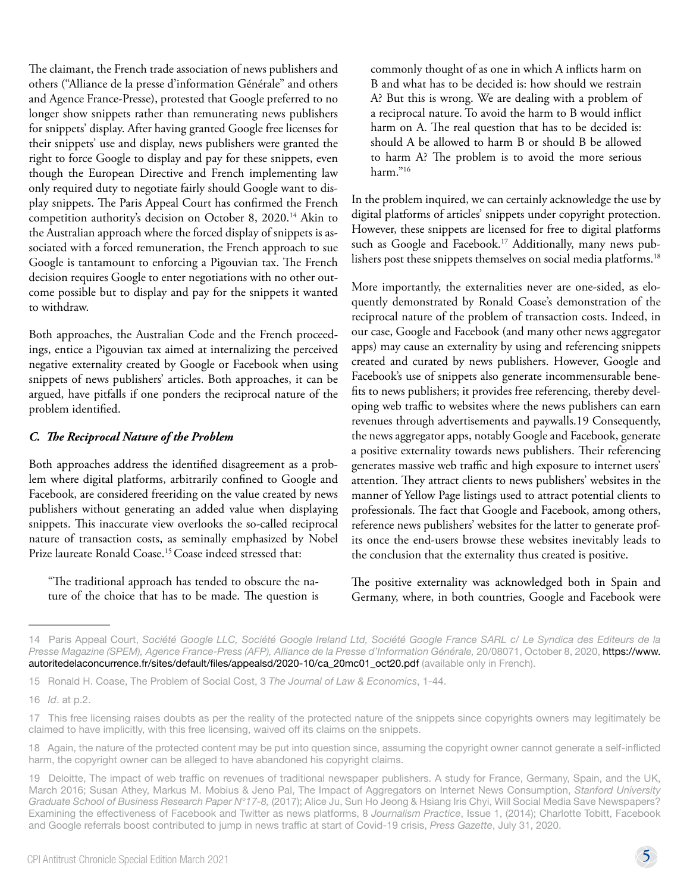The claimant, the French trade association of news publishers and others ("Alliance de la presse d'information Générale" and others and Agence France-Presse), protested that Google preferred to no longer show snippets rather than remunerating news publishers for snippets' display. After having granted Google free licenses for their snippets' use and display, news publishers were granted the right to force Google to display and pay for these snippets, even though the European Directive and French implementing law only required duty to negotiate fairly should Google want to display snippets. The Paris Appeal Court has confirmed the French competition authority's decision on October 8, 2020.14 Akin to the Australian approach where the forced display of snippets is associated with a forced remuneration, the French approach to sue Google is tantamount to enforcing a Pigouvian tax. The French decision requires Google to enter negotiations with no other outcome possible but to display and pay for the snippets it wanted to withdraw.

Both approaches, the Australian Code and the French proceedings, entice a Pigouvian tax aimed at internalizing the perceived negative externality created by Google or Facebook when using snippets of news publishers' articles. Both approaches, it can be argued, have pitfalls if one ponders the reciprocal nature of the problem identified.

#### *C. The Reciprocal Nature of the Problem*

Both approaches address the identified disagreement as a problem where digital platforms, arbitrarily confined to Google and Facebook, are considered freeriding on the value created by news publishers without generating an added value when displaying snippets. This inaccurate view overlooks the so-called reciprocal nature of transaction costs, as seminally emphasized by Nobel Prize laureate Ronald Coase.<sup>15</sup> Coase indeed stressed that:

"The traditional approach has tended to obscure the nature of the choice that has to be made. The question is commonly thought of as one in which A inflicts harm on B and what has to be decided is: how should we restrain A? But this is wrong. We are dealing with a problem of a reciprocal nature. To avoid the harm to B would inflict harm on A. The real question that has to be decided is: should A be allowed to harm B or should B be allowed to harm A? The problem is to avoid the more serious harm."16

In the problem inquired, we can certainly acknowledge the use by digital platforms of articles' snippets under copyright protection. However, these snippets are licensed for free to digital platforms such as Google and Facebook.<sup>17</sup> Additionally, many news publishers post these snippets themselves on social media platforms.<sup>18</sup>

More importantly, the externalities never are one-sided, as eloquently demonstrated by Ronald Coase's demonstration of the reciprocal nature of the problem of transaction costs. Indeed, in our case, Google and Facebook (and many other news aggregator apps) may cause an externality by using and referencing snippets created and curated by news publishers. However, Google and Facebook's use of snippets also generate incommensurable benefits to news publishers; it provides free referencing, thereby developing web traffic to websites where the news publishers can earn revenues through advertisements and paywalls.19 Consequently, the news aggregator apps, notably Google and Facebook, generate a positive externality towards news publishers. Their referencing generates massive web traffic and high exposure to internet users' attention. They attract clients to news publishers' websites in the manner of Yellow Page listings used to attract potential clients to professionals. The fact that Google and Facebook, among others, reference news publishers' websites for the latter to generate profits once the end-users browse these websites inevitably leads to the conclusion that the externality thus created is positive.

The positive externality was acknowledged both in Spain and Germany, where, in both countries, Google and Facebook were

<sup>14</sup>  Paris Appeal Court, *Société Google LLC, Société Google Ireland Ltd, Société Google France SARL c/ Le Syndica des Editeurs de la Presse Magazine (SPEM), Agence France-Press (AFP), Alliance de la Presse d'Information Générale,* 20/08071, October 8, 2020, [https://www.](https://www.autoritedelaconcurrence.fr/sites/default/files/appealsd/2020-10/ca_20mc01_oct20.pdf) [autoritedelaconcurrence.fr/sites/default/files/appealsd/2020-10/ca\\_20mc01\\_oct20.pdf](https://www.autoritedelaconcurrence.fr/sites/default/files/appealsd/2020-10/ca_20mc01_oct20.pdf) (available only in French).

<sup>15</sup>  Ronald H. Coase, The Problem of Social Cost, 3 *The Journal of Law & Economics*, 1-44.

<sup>16</sup>  *Id*. at p.2.

<sup>17</sup>  This free licensing raises doubts as per the reality of the protected nature of the snippets since copyrights owners may legitimately be claimed to have implicitly, with this free licensing, waived off its claims on the snippets.

<sup>18</sup>  Again, the nature of the protected content may be put into question since, assuming the copyright owner cannot generate a self-inflicted harm, the copyright owner can be alleged to have abandoned his copyright claims.

<sup>19</sup>  Deloitte, The impact of web traffic on revenues of traditional newspaper publishers. A study for France, Germany, Spain, and the UK, March 2016; Susan Athey, Markus M. Mobius & Jeno Pal, The Impact of Aggregators on Internet News Consumption, *Stanford University Graduate School of Business Research Paper N°17-8,* (2017); Alice Ju, Sun Ho Jeong & Hsiang Iris Chyi, Will Social Media Save Newspapers? Examining the effectiveness of Facebook and Twitter as news platforms, 8 *Journalism Practice*, Issue 1, (2014); Charlotte Tobitt, Facebook and Google referrals boost contributed to jump in news traffic at start of Covid-19 crisis, *Press Gazette*, July 31, 2020.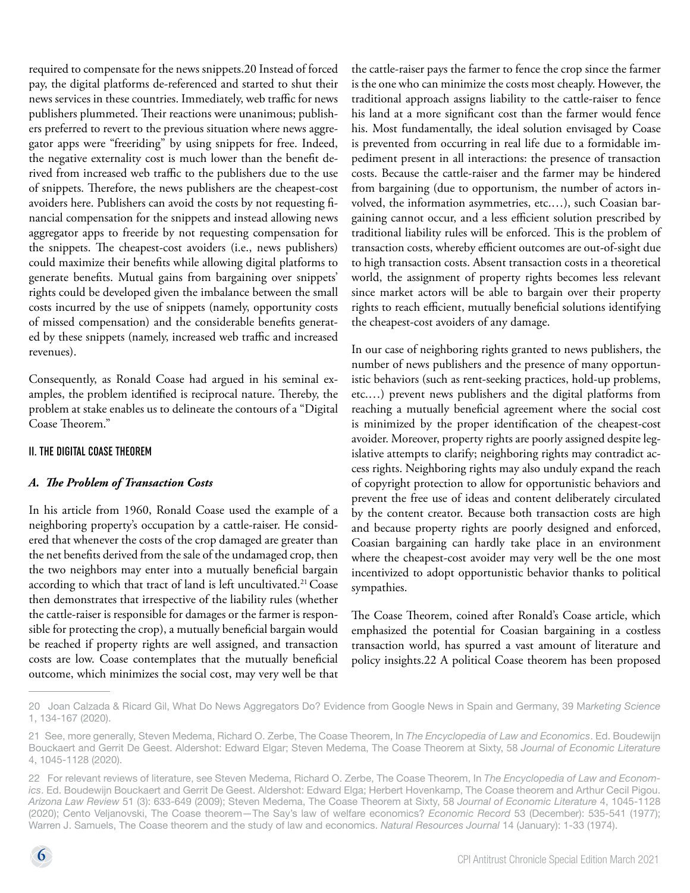required to compensate for the news snippets.20 Instead of forced pay, the digital platforms de-referenced and started to shut their news services in these countries. Immediately, web traffic for news publishers plummeted. Their reactions were unanimous; publishers preferred to revert to the previous situation where news aggregator apps were "freeriding" by using snippets for free. Indeed, the negative externality cost is much lower than the benefit derived from increased web traffic to the publishers due to the use of snippets. Therefore, the news publishers are the cheapest-cost avoiders here. Publishers can avoid the costs by not requesting financial compensation for the snippets and instead allowing news aggregator apps to freeride by not requesting compensation for the snippets. The cheapest-cost avoiders (i.e., news publishers) could maximize their benefits while allowing digital platforms to generate benefits. Mutual gains from bargaining over snippets' rights could be developed given the imbalance between the small costs incurred by the use of snippets (namely, opportunity costs of missed compensation) and the considerable benefits generated by these snippets (namely, increased web traffic and increased revenues).

Consequently, as Ronald Coase had argued in his seminal examples, the problem identified is reciprocal nature. Thereby, the problem at stake enables us to delineate the contours of a "Digital Coase Theorem."

#### II. THE DIGITAL COASE THEOREM

#### *A. The Problem of Transaction Costs*

In his article from 1960, Ronald Coase used the example of a neighboring property's occupation by a cattle-raiser. He considered that whenever the costs of the crop damaged are greater than the net benefits derived from the sale of the undamaged crop, then the two neighbors may enter into a mutually beneficial bargain according to which that tract of land is left uncultivated.<sup>21</sup> Coase then demonstrates that irrespective of the liability rules (whether the cattle-raiser is responsible for damages or the farmer is responsible for protecting the crop), a mutually beneficial bargain would be reached if property rights are well assigned, and transaction costs are low. Coase contemplates that the mutually beneficial outcome, which minimizes the social cost, may very well be that

the cattle-raiser pays the farmer to fence the crop since the farmer is the one who can minimize the costs most cheaply. However, the traditional approach assigns liability to the cattle-raiser to fence his land at a more significant cost than the farmer would fence his. Most fundamentally, the ideal solution envisaged by Coase is prevented from occurring in real life due to a formidable impediment present in all interactions: the presence of transaction costs. Because the cattle-raiser and the farmer may be hindered from bargaining (due to opportunism, the number of actors involved, the information asymmetries, etc.…), such Coasian bargaining cannot occur, and a less efficient solution prescribed by traditional liability rules will be enforced. This is the problem of transaction costs, whereby efficient outcomes are out-of-sight due to high transaction costs. Absent transaction costs in a theoretical world, the assignment of property rights becomes less relevant since market actors will be able to bargain over their property rights to reach efficient, mutually beneficial solutions identifying the cheapest-cost avoiders of any damage.

In our case of neighboring rights granted to news publishers, the number of news publishers and the presence of many opportunistic behaviors (such as rent-seeking practices, hold-up problems, etc.…) prevent news publishers and the digital platforms from reaching a mutually beneficial agreement where the social cost is minimized by the proper identification of the cheapest-cost avoider. Moreover, property rights are poorly assigned despite legislative attempts to clarify; neighboring rights may contradict access rights. Neighboring rights may also unduly expand the reach of copyright protection to allow for opportunistic behaviors and prevent the free use of ideas and content deliberately circulated by the content creator. Because both transaction costs are high and because property rights are poorly designed and enforced, Coasian bargaining can hardly take place in an environment where the cheapest-cost avoider may very well be the one most incentivized to adopt opportunistic behavior thanks to political sympathies.

The Coase Theorem, coined after Ronald's Coase article, which emphasized the potential for Coasian bargaining in a costless transaction world, has spurred a vast amount of literature and policy insights.22 A political Coase theorem has been proposed

<sup>20</sup>  Joan Calzada & Ricard Gil, What Do News Aggregators Do? Evidence from Google News in Spain and Germany, 39 Ma*rketing Science* 1, 134-167 (2020).

<sup>21</sup> See, more generally, Steven Medema, Richard O. Zerbe, The Coase Theorem, In *The Encyclopedia of Law and Economics*. Ed. Boudewijn Bouckaert and Gerrit De Geest. Aldershot: Edward Elgar; Steven Medema, The Coase Theorem at Sixty, 58 *Journal of Economic Literature* 4, 1045-1128 (2020).

<sup>22</sup>  For relevant reviews of literature, see Steven Medema, Richard O. Zerbe, The Coase Theorem, In *The Encyclopedia of Law and Economics*. Ed. Boudewijn Bouckaert and Gerrit De Geest. Aldershot: Edward Elga; Herbert Hovenkamp, The Coase theorem and Arthur Cecil Pigou. *Arizona Law Review* 51 (3): 633-649 (2009); Steven Medema, The Coase Theorem at Sixty, 58 *Journal of Economic Literature* 4, 1045-1128 (2020); Cento Veljanovski, The Coase theorem—The Say's law of welfare economics? *Economic Record* 53 (December): 535-541 (1977); Warren J. Samuels, The Coase theorem and the study of law and economics. *Natural Resources Journal* 14 (January): 1-33 (1974).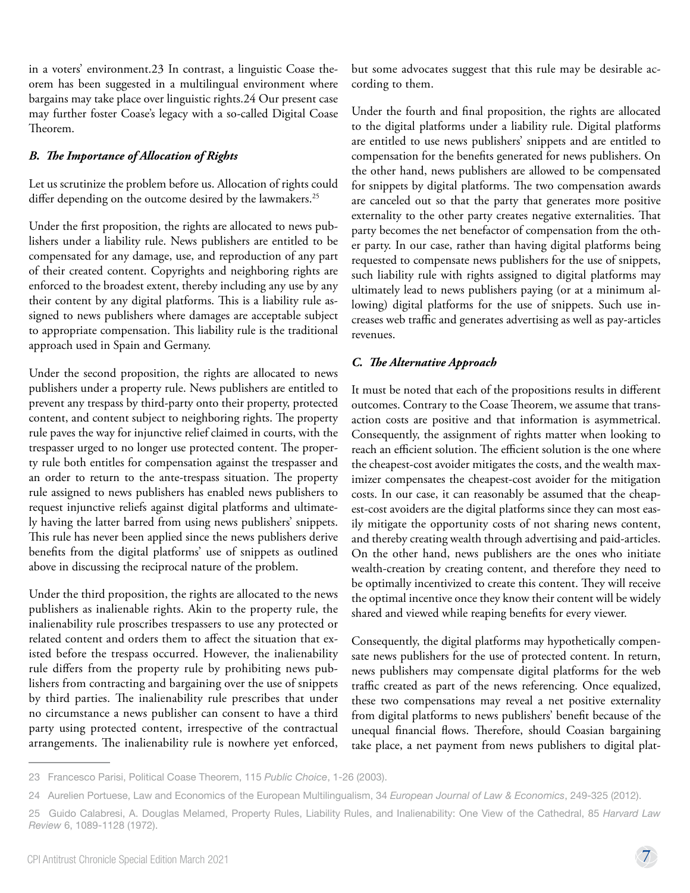in a voters' environment.23 In contrast, a linguistic Coase theorem has been suggested in a multilingual environment where bargains may take place over linguistic rights.24 Our present case may further foster Coase's legacy with a so-called Digital Coase Theorem.

#### *B. The Importance of Allocation of Rights*

Let us scrutinize the problem before us. Allocation of rights could differ depending on the outcome desired by the lawmakers.<sup>25</sup>

Under the first proposition, the rights are allocated to news publishers under a liability rule. News publishers are entitled to be compensated for any damage, use, and reproduction of any part of their created content. Copyrights and neighboring rights are enforced to the broadest extent, thereby including any use by any their content by any digital platforms. This is a liability rule assigned to news publishers where damages are acceptable subject to appropriate compensation. This liability rule is the traditional approach used in Spain and Germany.

Under the second proposition, the rights are allocated to news publishers under a property rule. News publishers are entitled to prevent any trespass by third-party onto their property, protected content, and content subject to neighboring rights. The property rule paves the way for injunctive relief claimed in courts, with the trespasser urged to no longer use protected content. The property rule both entitles for compensation against the trespasser and an order to return to the ante-trespass situation. The property rule assigned to news publishers has enabled news publishers to request injunctive reliefs against digital platforms and ultimately having the latter barred from using news publishers' snippets. This rule has never been applied since the news publishers derive benefits from the digital platforms' use of snippets as outlined above in discussing the reciprocal nature of the problem.

Under the third proposition, the rights are allocated to the news publishers as inalienable rights. Akin to the property rule, the inalienability rule proscribes trespassers to use any protected or related content and orders them to affect the situation that existed before the trespass occurred. However, the inalienability rule differs from the property rule by prohibiting news publishers from contracting and bargaining over the use of snippets by third parties. The inalienability rule prescribes that under no circumstance a news publisher can consent to have a third party using protected content, irrespective of the contractual arrangements. The inalienability rule is nowhere yet enforced,

but some advocates suggest that this rule may be desirable according to them.

Under the fourth and final proposition, the rights are allocated to the digital platforms under a liability rule. Digital platforms are entitled to use news publishers' snippets and are entitled to compensation for the benefits generated for news publishers. On the other hand, news publishers are allowed to be compensated for snippets by digital platforms. The two compensation awards are canceled out so that the party that generates more positive externality to the other party creates negative externalities. That party becomes the net benefactor of compensation from the other party. In our case, rather than having digital platforms being requested to compensate news publishers for the use of snippets, such liability rule with rights assigned to digital platforms may ultimately lead to news publishers paying (or at a minimum allowing) digital platforms for the use of snippets. Such use increases web traffic and generates advertising as well as pay-articles revenues.

#### *C. The Alternative Approach*

It must be noted that each of the propositions results in different outcomes. Contrary to the Coase Theorem, we assume that transaction costs are positive and that information is asymmetrical. Consequently, the assignment of rights matter when looking to reach an efficient solution. The efficient solution is the one where the cheapest-cost avoider mitigates the costs, and the wealth maximizer compensates the cheapest-cost avoider for the mitigation costs. In our case, it can reasonably be assumed that the cheapest-cost avoiders are the digital platforms since they can most easily mitigate the opportunity costs of not sharing news content, and thereby creating wealth through advertising and paid-articles. On the other hand, news publishers are the ones who initiate wealth-creation by creating content, and therefore they need to be optimally incentivized to create this content. They will receive the optimal incentive once they know their content will be widely shared and viewed while reaping benefits for every viewer.

Consequently, the digital platforms may hypothetically compensate news publishers for the use of protected content. In return, news publishers may compensate digital platforms for the web traffic created as part of the news referencing. Once equalized, these two compensations may reveal a net positive externality from digital platforms to news publishers' benefit because of the unequal financial flows. Therefore, should Coasian bargaining take place, a net payment from news publishers to digital plat-

<sup>23</sup>  Francesco Parisi, Political Coase Theorem, 115 *Public Choice*, 1-26 (2003).

<sup>24</sup>  Aurelien Portuese, Law and Economics of the European Multilingualism, 34 *European Journal of Law & Economics*, 249-325 (2012).

<sup>25</sup>  Guido Calabresi, A. Douglas Melamed, Property Rules, Liability Rules, and Inalienability: One View of the Cathedral, 85 *Harvard Law Review* 6, 1089-1128 (1972).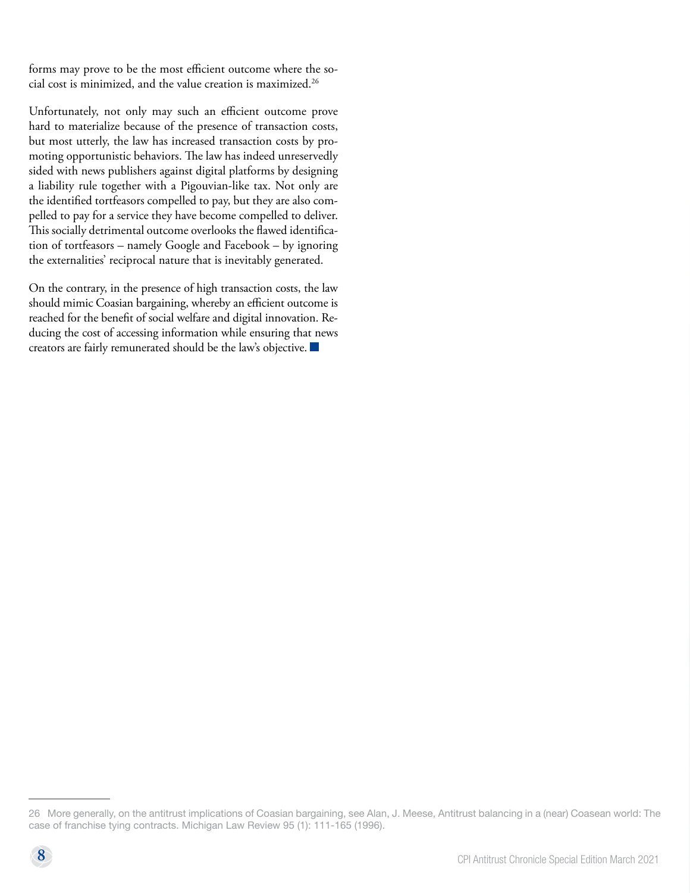forms may prove to be the most efficient outcome where the social cost is minimized, and the value creation is maximized.26

Unfortunately, not only may such an efficient outcome prove hard to materialize because of the presence of transaction costs, but most utterly, the law has increased transaction costs by promoting opportunistic behaviors. The law has indeed unreservedly sided with news publishers against digital platforms by designing a liability rule together with a Pigouvian-like tax. Not only are the identified tortfeasors compelled to pay, but they are also compelled to pay for a service they have become compelled to deliver. This socially detrimental outcome overlooks the flawed identification of tortfeasors – namely Google and Facebook – by ignoring the externalities' reciprocal nature that is inevitably generated.

On the contrary, in the presence of high transaction costs, the law should mimic Coasian bargaining, whereby an efficient outcome is reached for the benefit of social welfare and digital innovation. Reducing the cost of accessing information while ensuring that news creators are fairly remunerated should be the law's objective.

<sup>26</sup>  More generally, on the antitrust implications of Coasian bargaining, see Alan, J. Meese, Antitrust balancing in a (near) Coasean world: The case of franchise tying contracts. Michigan Law Review 95 (1): 111-165 (1996).